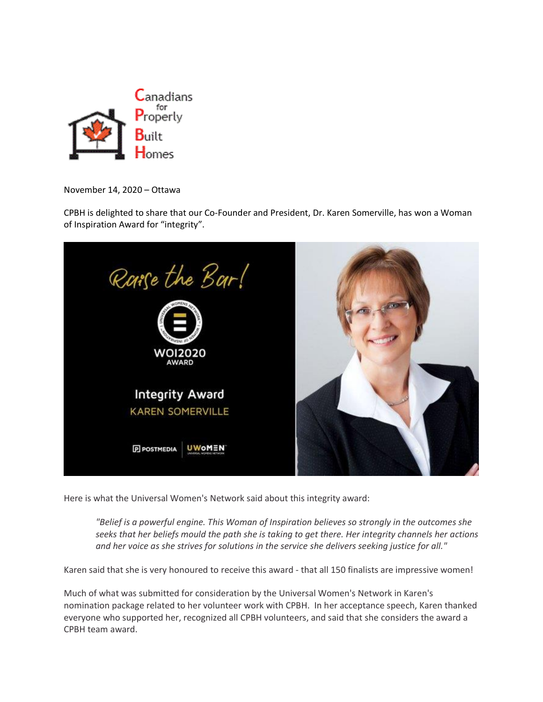

November 14, 2020 – Ottawa

CPBH is delighted to share that our Co-Founder and President, Dr. Karen Somerville, has won a Woman of Inspiration Award for "integrity".



Here is what the Universal Women's Network said about this integrity award:

*"Belief is a powerful engine. This Woman of Inspiration believes so strongly in the outcomes she seeks that her beliefs mould the path she is taking to get there. Her integrity channels her actions and her voice as she strives for solutions in the service she delivers seeking justice for all."*

Karen said that she is very honoured to receive this award - that all 150 finalists are impressive women!

Much of what was submitted for consideration by the Universal Women's Network in Karen's nomination package related to her volunteer work with CPBH. In her acceptance speech, Karen thanked everyone who supported her, recognized all CPBH volunteers, and said that she considers the award a CPBH team award.